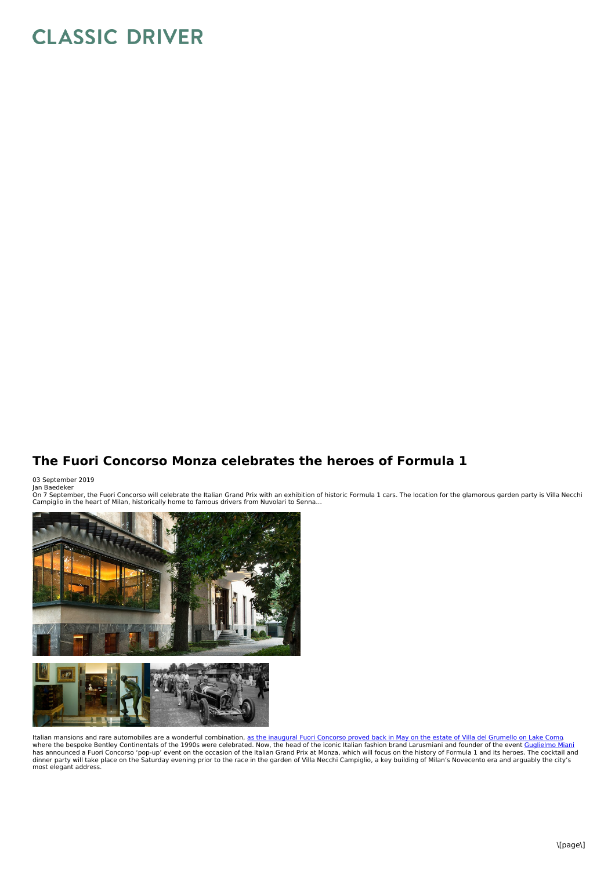## **CLASSIC DRIVER**

## **The Fuori Concorso Monza celebrates the heroes of Formula 1**

03 September 2019 Jan Baedeker

On 7 September, the Fuori Concorso will celebrate the Italian Grand Prix with an exhibition of historic Formula 1 cars. The location for the glamorous garden party is Villa Necchi<br>Campiglio in the heart of Milan, historica



Italian mansions and rare automobiles are a wonderful combination, <u>as the [inaugural](https://www.classicdriver.com/en/article/cars/big-bentleys-1990s-shone-first-fuoriconcorso) Fuori Concorso proved back in May on the estate of Villa del Grumello on Lake Como.<br>where the bespoke Bentley Continentals of the 1990s w</u> dinner party will take place on the Saturday evening prior to the race in the garden of Villa Necchi Campiglio, a key building of Milan's Novecento era and arguably the city's<br>most elegant address.